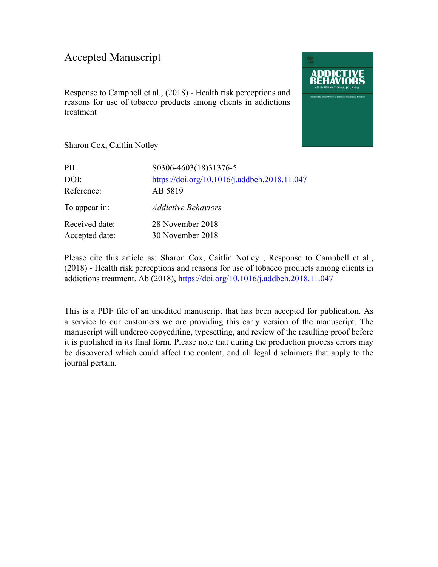### Accepted Manuscript

Response to Campbell et al., (2018) - Health risk perceptions and reasons for use of tobacco products among clients in addictions treatment



Sharon Cox, Caitlin Notley

| PII:           | S0306-4603(18)31376-5                        |
|----------------|----------------------------------------------|
| DOI:           | https://doi.org/10.1016/j.addbeh.2018.11.047 |
| Reference:     | AB 5819                                      |
| To appear in:  | <b>Addictive Behaviors</b>                   |
| Received date: | 28 November 2018                             |
| Accepted date: | 30 November 2018                             |

Please cite this article as: Sharon Cox, Caitlin Notley , Response to Campbell et al., (2018) - Health risk perceptions and reasons for use of tobacco products among clients in addictions treatment. Ab (2018), <https://doi.org/10.1016/j.addbeh.2018.11.047>

This is a PDF file of an unedited manuscript that has been accepted for publication. As a service to our customers we are providing this early version of the manuscript. The manuscript will undergo copyediting, typesetting, and review of the resulting proof before it is published in its final form. Please note that during the production process errors may be discovered which could affect the content, and all legal disclaimers that apply to the journal pertain.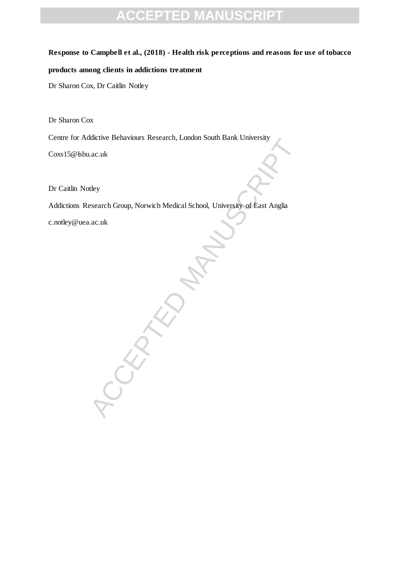#### **Response to Campbell et al., (2018) - Health risk perceptions and reasons for use of tobacco**

#### **products among clients in addictions treatment**

Dr Sharon Cox, Dr Caitlin Notley

Dr Sharon Cox

Centre for Addictive Behaviours Research, London South Bank University

Coxs15@lsbu.ac.uk

Dr Caitlin Notley

Addictions Research Group, Norwich Medical School, University of East Anglia

c.notley@uea.ac.uk

RCCEPTED MANUSCRIPT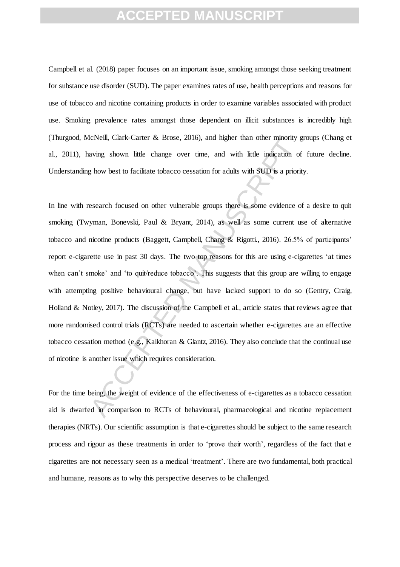Campbell et al. (2018) paper focuses on an important issue, smoking amongst those seeking treatment for substance use disorder (SUD). The paper examines rates of use, health perceptions and reasons for use of tobacco and nicotine containing products in order to examine variables associated with product use. Smoking prevalence rates amongst those dependent on illicit substances is incredibly high (Thurgood, McNeill, Clark-Carter & Brose, 2016), and higher than other minority groups (Chang et al., 2011), having shown little change over time, and with little indication of future decline. Understanding how best to facilitate tobacco cessation for adults with SUD is a priority.

Eveni, Can's-Carter & Biose, 2010), and ingiter dari outer innormy g<br>aving shown little change over time, and with little indication of<br>g how best to facilitate tobacco cessation for adults with SUD is a priorit<br>esearch fo In line with research focused on other vulnerable groups there is some evidence of a desire to quit smoking (Twyman, Bonevski, Paul & Bryant, 2014), as well as some current use of alternative tobacco and nicotine products (Baggett, Campbell, Chang & Rigotti., 2016). 26.5% of participants' report e-cigarette use in past 30 days. The two top reasons for this are using e-cigarettes 'at times when can't smoke' and 'to quit/reduce tobacco'. This suggests that this group are willing to engage with attempting positive behavioural change, but have lacked support to do so (Gentry, Craig, Holland & Notley, 2017). The discussion of the Campbell et al., article states that reviews agree that more randomised control trials (RCTs) are needed to ascertain whether e-cigarettes are an effective tobacco cessation method (e.g., Kalkhoran & Glantz, 2016). They also conclude that the continual use of nicotine is another issue which requires consideration.

For the time being, the weight of evidence of the effectiveness of e-cigarettes as a tobacco cessation aid is dwarfed in comparison to RCTs of behavioural, pharmacological and nicotine replacement therapies (NRTs). Our scientific assumption is that e-cigarettes should be subject to the same research process and rigour as these treatments in order to 'prove their worth', regardless of the fact that e cigarettes are not necessary seen as a medical 'treatment'. There are two fundamental, both practical and humane, reasons as to why this perspective deserves to be challenged.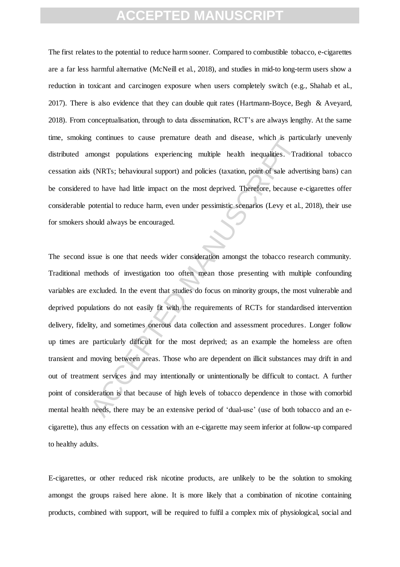The first relates to the potential to reduce harm sooner. Compared to combustible tobacco, e-cigarettes are a far less harmful alternative (McNeill et al., 2018), and studies in mid-to long-term users show a reduction in toxicant and carcinogen exposure when users completely switch (e.g., Shahab et al., 2017). There is also evidence that they can double quit rates (Hartmann-Boyce, Begh & Aveyard, 2018). From conceptualisation, through to data dissemination, RCT's are always lengthy. At the same time, smoking continues to cause premature death and disease, which is particularly unevenly distributed amongst populations experiencing multiple health inequalities. Traditional tobacco cessation aids (NRTs; behavioural support) and policies (taxation, point of sale advertising bans) can be considered to have had little impact on the most deprived. Therefore, because e-cigarettes offer considerable potential to reduce harm, even under pessimistic scenarios (Levy et al., 2018), their use for smokers should always be encouraged.

CONDITE: So Cate Perhature teath and thesese, which is partimony amongst populations experiencing multiple health inequalities. Tra<br>
So (NRTs; behavioural support) and policies (taxation, point of sale adve<br>
1 to have had The second issue is one that needs wider consideration amongst the tobacco research community. Traditional methods of investigation too often mean those presenting with multiple confounding variables are excluded. In the event that studies do focus on minority groups, the most vulnerable and deprived populations do not easily fit with the requirements of RCTs for standardised intervention delivery, fidelity, and sometimes onerous data collection and assessment procedures. Longer follow up times are particularly difficult for the most deprived; as an example the homeless are often transient and moving between areas. Those who are dependent on illicit substances may drift in and out of treatment services and may intentionally or unintentionally be difficult to contact. A further point of consideration is that because of high levels of tobacco dependence in those with comorbid mental health needs, there may be an extensive period of 'dual-use' (use of both tobacco and an ecigarette), thus any effects on cessation with an e-cigarette may seem inferior at follow-up compared to healthy adults.

E-cigarettes, or other reduced risk nicotine products, are unlikely to be the solution to smoking amongst the groups raised here alone. It is more likely that a combination of nicotine containing products, combined with support, will be required to fulfil a complex mix of physiological, social and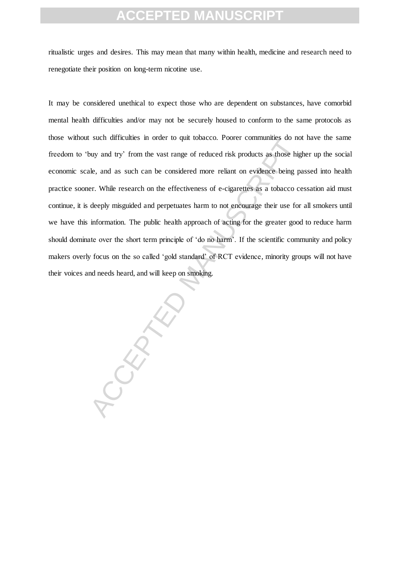ritualistic urges and desires. This may mean that many within health, medicine and research need to renegotiate their position on long-term nicotine use.

It may be considered unethical to expect those who are dependent on substances, have comorbid mental health difficulties and/or may not be securely housed to conform to the same protocols as those without such difficulties in order to quit tobacco. Poorer communities do not have the same freedom to 'buy and try' from the vast range of reduced risk products as those higher up the social economic scale, and as such can be considered more reliant on evidence being passed into health practice sooner. While research on the effectiveness of e-cigarettes as a tobacco cessation aid must continue, it is deeply misguided and perpetuates harm to not encourage their use for all smokers until we have this information. The public health approach of acting for the greater good to reduce harm should dominate over the short term principle of 'do no harm'. If the scientific community and policy makers overly focus on the so called 'gold standard' of RCT evidence, minority groups will not have their voices and needs heard, and will keep on smoking.

CCERS .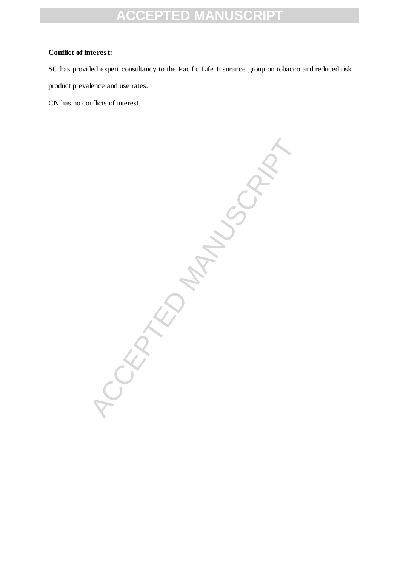#### **Conflict of interest:**

SC has provided expert consultancy to the Pacific Life Insurance group on tobacco and reduced risk product prevalence and use rates.

CN has no conflicts of interest.

CEPTED MANUSCRIPT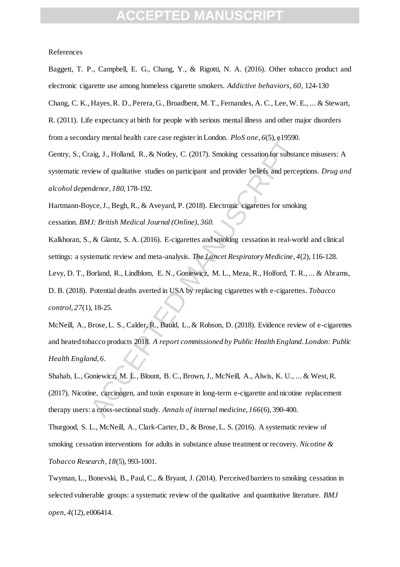### **ACEPTED MANUSCR**

#### References

Baggett, T. P., Campbell, E. G., Chang, Y., & Rigotti, N. A. (2016). Other tobacco product and electronic cigarette use among homeless cigarette smokers. *Addictive behaviors*, *60*, 124-130 Chang, C. K., Hayes, R. D., Perera, G., Broadbent, M. T., Fernandes, A. C., Lee, W. E., ... & Stewart,

R. (2011). Life expectancy at birth for people with serious mental illness and other major disorders from a secondary mental health care case register in London. *PloS one*, *6*(5), e19590.

Gentry, S., Craig, J., Holland, R., & Notley, C. (2017). Smoking cessation for substance misusers: A systematic review of qualitative studies on participant and provider beliefs and perceptions. *Drug and alcohol dependence*, *180*, 178-192.

Hartmann-Boyce, J., Begh, R., & Aveyard, P. (2018). Electronic cigarettes for smoking cessation. *BMJ: British Medical Journal (Online)*, *360*.

ialy inenal neadly called rease register in London. *Finos one*, 0(c), e19599.<br>
Taig, J., Holland, R., & Notley, C. (2017). Smoking cessation for substant<br>
view of qualitative studies on participant and provider beliefs an Kalkhoran, S., & Glantz, S. A. (2016). E-cigarettes and smoking cessation in real-world and clinical settings: a systematic review and meta-analysis. *The Lancet Respiratory Medicine*, *4*(2), 116-128. Levy, D. T., Borland, R., Lindblom, E. N., Goniewicz, M. L., Meza, R., Holford, T. R., ... & Abrams, D. B. (2018). Potential deaths averted in USA by replacing cigarettes with e-cigarettes. *Tobacco control*, *27*(1), 18-25.

McNeill, A., Brose, L. S., Calder, R., Bauld, L., & Robson, D. (2018). Evidence review of e-cigarettes and heated tobacco products 2018. *A report commissioned by Public Health England. London: Public Health England*, *6*.

Shahab, L., Goniewicz, M. L., Blount, B. C., Brown, J., McNeill, A., Alwis, K. U., ... & West, R. (2017). Nicotine, carcinogen, and toxin exposure in long-term e-cigarette and nicotine replacement therapy users: a cross-sectional study. *Annals of internal medicine*, *166*(6), 390-400.

Thurgood, S. L., McNeill, A., Clark-Carter, D., & Brose, L. S. (2016). A systematic review of smoking cessation interventions for adults in substance abuse treatment or recovery. *Nicotine & Tobacco Research*, *18*(5), 993-1001.

Twyman, L., Bonevski, B., Paul, C., & Bryant, J. (2014). Perceived barriers to smoking cessation in selected vulnerable groups: a systematic review of the qualitative and quantitative literature. *BMJ open*, *4*(12), e006414.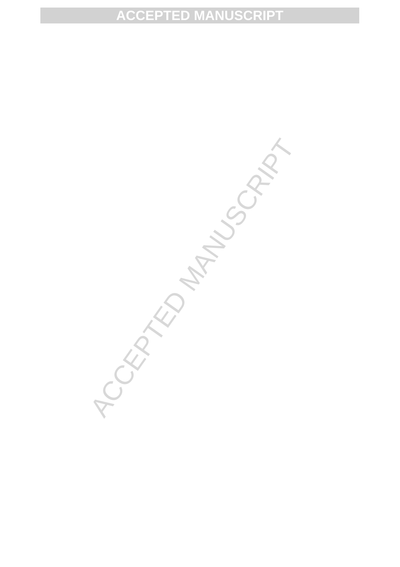ACCEPTED MANUSCRIPT